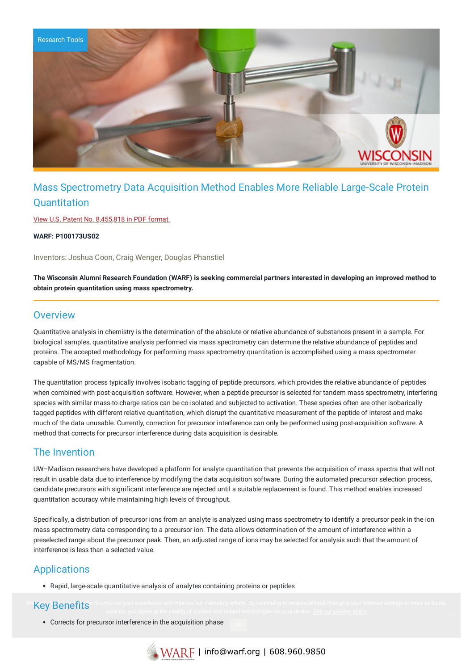

# Mass Spectrometry Data Acquisition Method Enables More Reliable Large-Scale Protein **Quantitation**

View U.S. Patent No. [8,455,818](https://www.warf.org/wp-content/uploads/technologies/ipstatus/P100173US02.PDF) in PDF format.

**WARF: P100173US02**

Inventors: Joshua Coon, Craig Wenger, Douglas Phanstiel

The Wisconsin Alumni Research Foundation (WARF) is seeking commercial partners interested in developing an improved method to **obtain protein quantitation using mass spectrometry.**

#### **Overview**

Quantitative analysis in chemistry is the determination of the absolute or relative abundance of substances present in a sample. For biological samples, quantitative analysis performed via mass spectrometry can determine the relative abundance of peptides and proteins. The accepted methodology for performing mass spectrometry quantitation is accomplished using a mass spectrometer capable of MS/MS fragmentation.

The quantitation process typically involves isobaric tagging of peptide precursors, which provides the relative abundance of peptides when combined with post-acquisition software. However, when a peptide precursor is selected for tandem mass spectrometry, interfering species with similar mass-to-charge ratios can be co-isolated and subjected to activation. These species often are other isobarically tagged peptides with different relative quantitation, which disrupt the quantitative measurement of the peptide of interest and make much of the data unusable. Currently, correction for precursor interference can only be performed using post-acquisition software. A method that corrects for precursor interference during data acquisition is desirable.

#### The Invention

UW–Madison researchers have developed a platform for analyte quantitation that prevents the acquisition of mass spectra that will not result in usable data due to interference by modifying the data acquisition software. During the automated precursor selection process, candidate precursors with significant interference are rejected until a suitable replacement is found. This method enables increased quantitation accuracy while maintaining high levels of throughput.

Specifically, a distribution of precursor ions from an analyte is analyzed using mass spectrometry to identify a precursor peak in the ion mass spectrometry data corresponding to a precursor ion. The data allows determination of the amount of interference within a preselected range about the precursor peak. Then, an adjusted range of ions may be selected for analysis such that the amount of interference is less than a selected value.

### Applications

Rapid, large-scale quantitative analysis of analytes containing proteins or peptides

### We Key Benefits<sup>e</sup> to enhance your experience and improve our marketing efforts. By continuing to browse without changing your browser settings to block or delete

Corrects for precursor interference in the acquisition phase